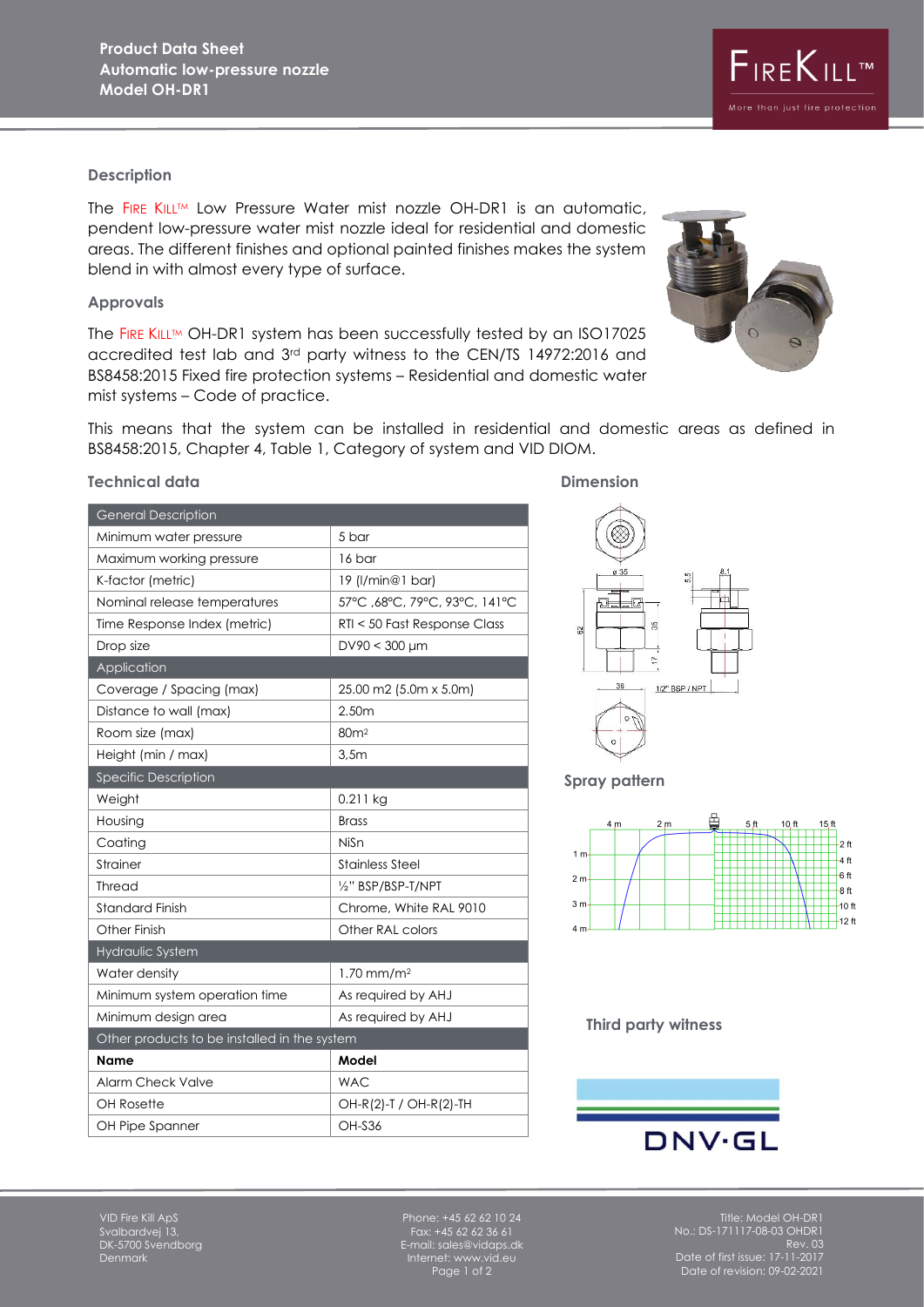## **Description**

The FIRE KILL™ Low Pressure Water mist nozzle OH-DR1 is an automatic, pendent low-pressure water mist nozzle ideal for residential and domestic areas. The different finishes and optional painted finishes makes the system blend in with almost every type of surface.

#### **Approvals**

The FIRE KILL™ OH-DR1 system has been successfully tested by an ISO17025 accredited test lab and 3rd party witness to the CEN/TS 14972:2016 and BS8458:2015 Fixed fire protection systems – Residential and domestic water mist systems – Code of practice.

This means that the system can be installed in residential and domestic areas as defined in BS8458:2015, Chapter 4, Table 1, Category of system and VID DIOM.

## **Technical data** Dimension

| <b>General Description</b>                   |                               |
|----------------------------------------------|-------------------------------|
| Minimum water pressure                       | 5 bar                         |
| Maximum working pressure                     | 16 bar                        |
| K-factor (metric)                            | 19 (l/min@1 bar)              |
| Nominal release temperatures                 | 57°C, 68°C, 79°C, 93°C, 141°C |
| Time Response Index (metric)                 | RTI < 50 Fast Response Class  |
| Drop size                                    | $DV90 < 300 \mu m$            |
| Application                                  |                               |
| Coverage / Spacing (max)                     | 25.00 m2 (5.0m x 5.0m)        |
| Distance to wall (max)                       | 2.50m                         |
| Room size (max)                              | 80m <sup>2</sup>              |
| Height (min / max)                           | 3,5m                          |
| <b>Specific Description</b>                  |                               |
| Weight                                       | $0.211$ kg                    |
| Housing                                      | <b>Brass</b>                  |
| Coating                                      | NiSn                          |
| Strainer                                     | Stainless Steel               |
| <b>Thread</b>                                | 1/2" BSP/BSP-T/NPT            |
| <b>Standard Finish</b>                       | Chrome, White RAL 9010        |
| Other Finish                                 | Other RAL colors              |
| Hydraulic System                             |                               |
| Water density                                | $1.70$ mm/m <sup>2</sup>      |
| Minimum system operation time                | As required by AHJ            |
| Minimum design area                          | As required by AHJ            |
| Other products to be installed in the system |                               |
| Name                                         | Model                         |
| Alarm Check Valve                            | <b>WAC</b>                    |
| <b>OH Rosette</b>                            | OH-R(2)-T / OH-R(2)-TH        |
| OH Pipe Spanner                              | <b>OH-S36</b>                 |
|                                              |                               |



## **Spray pattern**



#### **Third party witness**



VID Fire Kill ApS Svalbardvej 13, DK-5700 Svendborg Denmark

Phone: +45 62 62 10 24 Fax: +45 62 62 36 61 E-mail: sales@vidaps.dk Internet: www.vid.eu Page 1 of 2